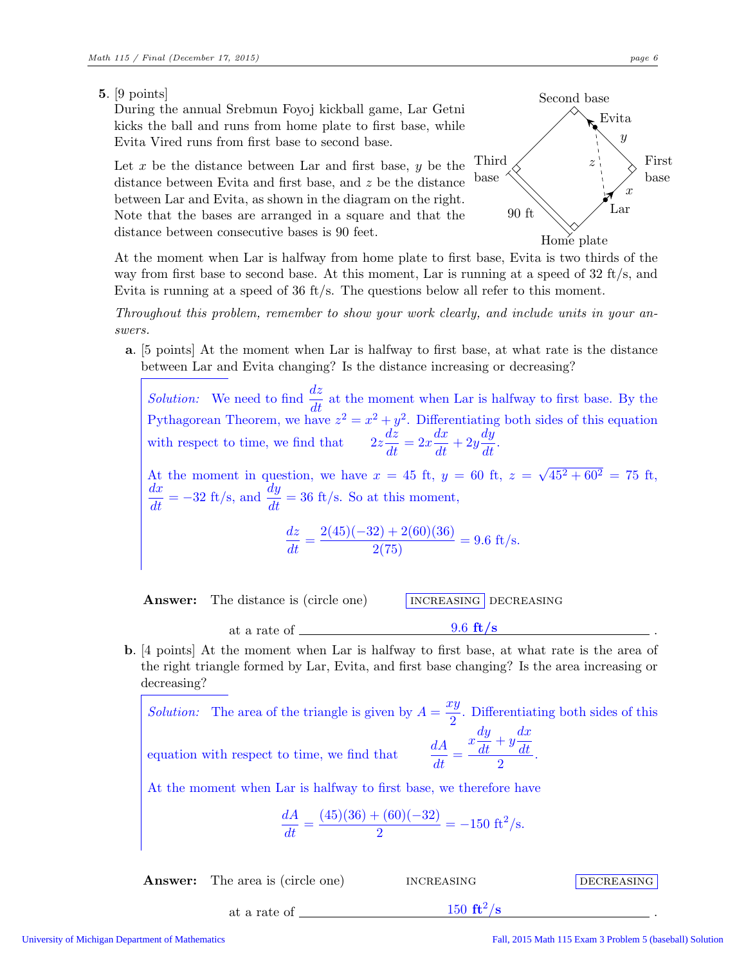## 5. [9 points]

During the annual Srebmun Foyoj kickball game, Lar Getni kicks the ball and runs from home plate to first base, while Evita Vired runs from first base to second base.

Let  $x$  be the distance between Lar and first base,  $y$  be the distance between Evita and first base, and z be the distance between Lar and Evita, as shown in the diagram on the right. Note that the bases are arranged in a square and that the distance between consecutive bases is 90 feet.



At the moment when Lar is halfway from home plate to first base, Evita is two thirds of the way from first base to second base. At this moment, Lar is running at a speed of 32 ft/s, and Evita is running at a speed of 36 ft/s. The questions below all refer to this moment.

*Throughout this problem, remember to show your work clearly, and include units in your answers.*

a. [5 points] At the moment when Lar is halfway to first base, at what rate is the distance between Lar and Evita changing? Is the distance increasing or decreasing?

*Solution:* We need to find  $\frac{dz}{dt}$  at the moment when Lar is halfway to first base. By the Pythagorean Theorem, we have  $z^2 = x^2 + y^2$ . Differentiating both sides of this equation with respect to time, we find that  $2z\frac{dz}{dt} = 2x\frac{dx}{dt} + 2y\frac{dy}{dt}$ . At the moment in question, we have  $x = 45$  ft,  $y = 60$  ft,  $z = \sqrt{45^2 + 60^2} = 75$  ft,  $\frac{dx}{dt} = -32$  ft/s, and  $\frac{dy}{dt} = 36$  ft/s. So at this moment,  $\frac{dz}{dt} = \frac{2(45)(-32) + 2(60)(36)}{2(75)} = 9.6$  ft/s.

**Answer:** The distance is (circle one) **INCREASING** DECREASING

at a rate of  $\frac{9.6 \text{ ft/s}}{1000 \text{ ft/s}}$ b. [4 points] At the moment when Lar is halfway to first base, at what rate is the area of the right triangle formed by Lar, Evita, and first base changing? Is the area increasing or decreasing?

*Solution:* The area of the triangle is given by  $A = \frac{xy}{2}$  $\frac{29}{2}$ . Differentiating both sides of this

equation with respect to time, we find that

$$
\frac{dA}{dt} = \frac{x\frac{dy}{dt} + y\frac{dx}{dt}}{2}.
$$

At the moment when Lar is halfway to first base, we therefore have

$$
\frac{dA}{dt} = \frac{(45)(36) + (60)(-32)}{2} = -150 \text{ ft}^2/\text{s}.
$$

Answer: The area is (circle one) increasing decreasing decreasing decreasing

at a rate of  $\frac{150 \text{ ft}^2/\text{s}}{250 \text{ ft}^2/\text{s}}$ 

 $/\mathrm{s}$  . The set of  $\mathrm{s}$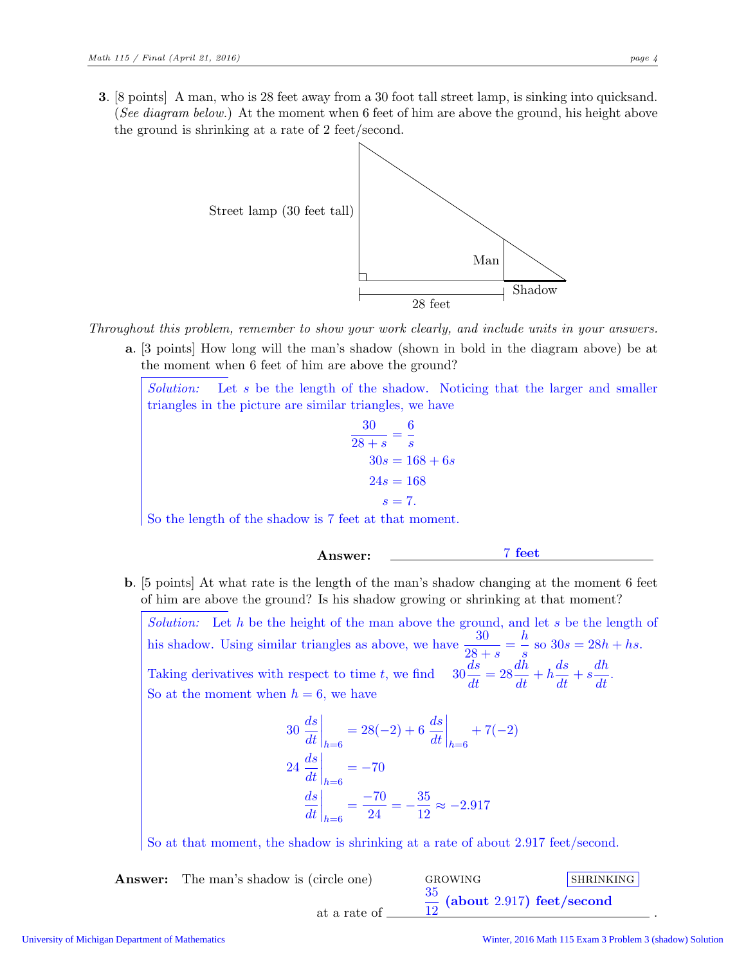3. [8 points] A man, who is 28 feet away from a 30 foot tall street lamp, is sinking into quicksand. (*See diagram below.*) At the moment when 6 feet of him are above the ground, his height above the ground is shrinking at a rate of 2 feet/second.



*Throughout this problem, remember to show your work clearly, and include units in your answers.*

a. [3 points] How long will the man's shadow (shown in bold in the diagram above) be at the moment when 6 feet of him are above the ground?

*Solution:* Let s be the length of the shadow. Noticing that the larger and smaller triangles in the picture are similar triangles, we have

$$
\frac{30}{28+s} = \frac{6}{s}
$$

$$
30s = 168+6s
$$

$$
24s = 168
$$

$$
s = 7.
$$

So the length of the shadow is 7 feet at that moment.

- Answer: 7 feet
- b. [5 points] At what rate is the length of the man's shadow changing at the moment 6 feet of him are above the ground? Is his shadow growing or shrinking at that moment?

*Solution:* Let h be the height of the man above the ground, and let s be the length of his shadow. Using similar triangles as above, we have  $\frac{30}{28+s}$  = h  $\frac{h}{s}$  so  $30s = 28h + hs$ . Taking derivatives with respect to time t, we find  $30\frac{ds}{dt} = 28$  $\frac{d\tilde{h}}{dt}+h\frac{ds}{dt}+s\frac{dh}{dt}$  $\frac{d}{dt}$ . So at the moment when  $h = 6$ , we have

$$
30 \frac{ds}{dt}\Big|_{h=6} = 28(-2) + 6 \frac{ds}{dt}\Big|_{h=6} + 7(-2)
$$
  

$$
24 \frac{ds}{dt}\Big|_{h=6} = -70
$$
  

$$
\frac{ds}{dt}\Big|_{h=6} = \frac{-70}{24} = -\frac{35}{12} \approx -2.917
$$

So at that moment, the shadow is shrinking at a rate of about 2.917 feet/second.

**Answer:** The man's shadow is (circle one) GROWING SHRINKING at a rate of 35  $\frac{35}{12}$  (about 2.917) feet/second

.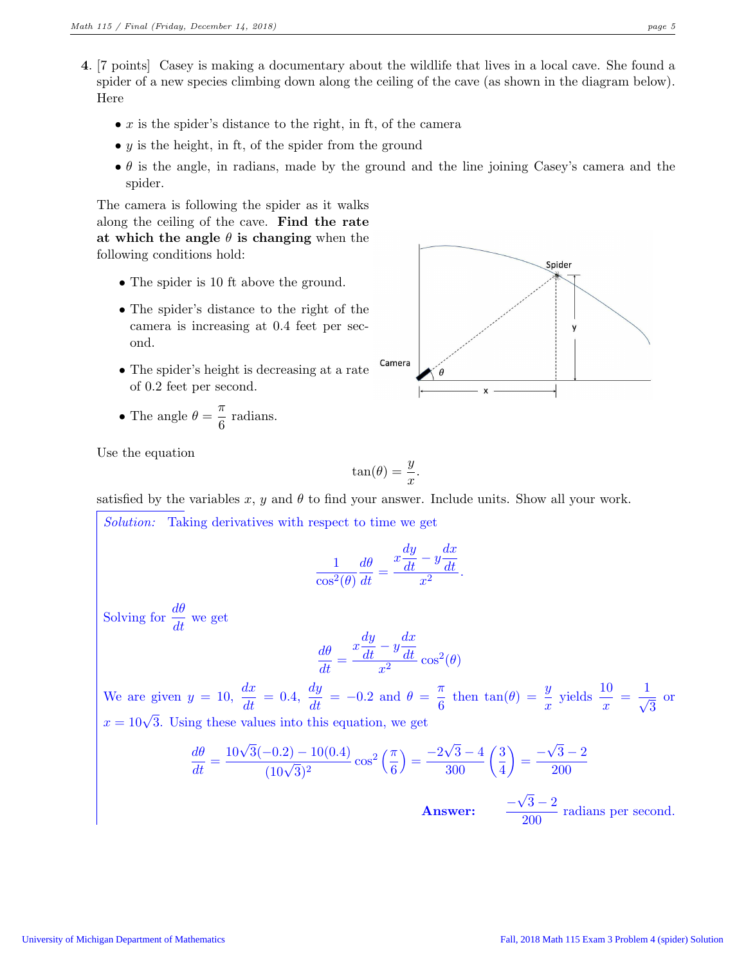- 4. [7 points] Casey is making a documentary about the wildlife that lives in a local cave. She found a spider of a new species climbing down along the ceiling of the cave (as shown in the diagram below). Here
	- $x$  is the spider's distance to the right, in ft, of the camera
	- $y$  is the height, in ft, of the spider from the ground
	- $\bullet$   $\theta$  is the angle, in radians, made by the ground and the line joining Casey's camera and the spider.

The camera is following the spider as it walks along the ceiling of the cave. Find the rate at which the angle  $\theta$  is changing when the following conditions hold:

- The spider is 10 ft above the ground.
- The spider's distance to the right of the camera is increasing at 0.4 feet per second.
- The spider's height is decreasing at a rate of 0.2 feet per second.

• The angle 
$$
\theta = \frac{\pi}{6}
$$
 radians.



Use the equation

$$
\tan(\theta) = \frac{y}{x}.
$$

satisfied by the variables x, y and  $\theta$  to find your answer. Include units. Show all your work.

Solution: Taking derivatives with respect to time we get

$$
\frac{1}{\cos^2(\theta)}\frac{d\theta}{dt} = \frac{x\frac{dy}{dt} - y\frac{dx}{dt}}{x^2}.
$$

Solving for  $\frac{d\theta}{dt}$  we get  $\frac{d\theta}{dt} =$  $x\frac{dy}{dt} - y\frac{dx}{dt}$ dt  $\int \frac{d^2y}{x^2} \cos^2(\theta)$ We are given  $y = 10$ ,  $\frac{dx}{dt} = 0.4$ ,  $\frac{dy}{dt} = -0.2$  and  $\theta = \frac{\pi}{6}$  $\frac{\pi}{6}$  then  $\tan(\theta) = \frac{y}{x}$  yields  $\frac{10}{x} = \frac{1}{\sqrt{x}}$  $\overline{\sqrt{3}}$ or  $x = 10\sqrt{3}$ . Using these values into this equation, we get

$$
\frac{d\theta}{dt} = \frac{10\sqrt{3}(-0.2) - 10(0.4)}{(10\sqrt{3})^2} \cos^2\left(\frac{\pi}{6}\right) = \frac{-2\sqrt{3} - 4}{300} \left(\frac{3}{4}\right) = \frac{-\sqrt{3} - 2}{200}
$$
  
Answer: 
$$
\frac{-\sqrt{3} - 2}{200}
$$
 radians per second.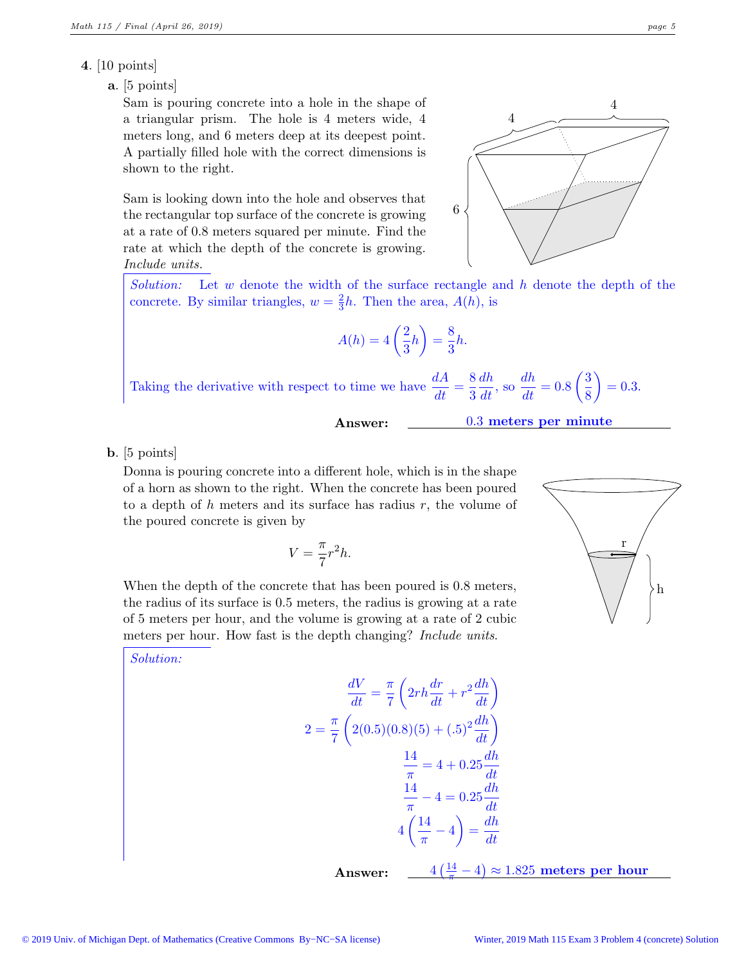## 4. [10 points]

## a. [5 points]

Sam is pouring concrete into a hole in the shape of a triangular prism. The hole is 4 meters wide, 4 meters long, and 6 meters deep at its deepest point. A partially filled hole with the correct dimensions is shown to the right.

Sam is looking down into the hole and observes that the rectangular top surface of the concrete is growing at a rate of 0.8 meters squared per minute. Find the rate at which the depth of the concrete is growing. *Include units.*



*Solution:* Let w denote the width of the surface rectangle and h denote the depth of the concrete. By similar triangles,  $w = \frac{2}{3}$  $\frac{2}{3}h$ . Then the area,  $A(h)$ , is

$$
A(h) = 4\left(\frac{2}{3}h\right) = \frac{8}{3}h.
$$

Taking the derivative with respect to time we have  $\frac{dA}{dt} = \frac{8}{3}$ 3  $\frac{dh}{dt}$ , so  $\frac{dh}{dt} = 0.8 \left(\frac{3}{8}\right)$ 8  $= 0.3.$ 

0.3 meters per minute

b. [5 points]

Donna is pouring concrete into a different hole, which is in the shape of a horn as shown to the right. When the concrete has been poured to a depth of h meters and its surface has radius  $r$ , the volume of the poured concrete is given by

$$
V = \frac{\pi}{7}r^2h.
$$

When the depth of the concrete that has been poured is 0.8 meters, the radius of its surface is 0.5 meters, the radius is growing at a rate of 5 meters per hour, and the volume is growing at a rate of 2 cubic meters per hour. How fast is the depth changing? *Include units*.

*Solution:*

$$
\frac{dV}{dt} = \frac{\pi}{7} \left( 2rh \frac{dr}{dt} + r^2 \frac{dh}{dt} \right)
$$

$$
2 = \frac{\pi}{7} \left( 2(0.5)(0.8)(5) + (.5)^2 \frac{dh}{dt} \right)
$$

$$
\frac{14}{\pi} = 4 + 0.25 \frac{dh}{dt}
$$

$$
\frac{14}{\pi} - 4 = 0.25 \frac{dh}{dt}
$$

$$
4 \left( \frac{14}{\pi} - 4 \right) = \frac{dh}{dt}
$$

Answer:

 $\left(\frac{14}{\pi}-4\right) \approx 1.825$  meters per hour

h

r